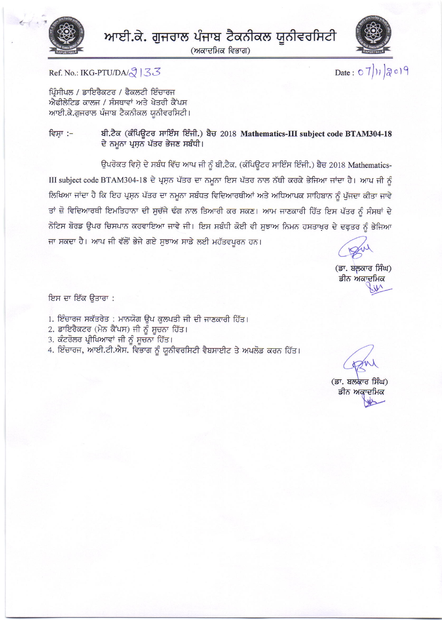

(ਅਕਾਦਮਿਕ ਵਿਭਾਗ)



Date:  $07)$ 1/2019

Ref. No.: IKG-PTU/DA/ $\sqrt{3}$  | 33

ਪਿੰਸੀਪਲ / ਡਾਇਰੈਕਟਰ / ਫੈਕਲਟੀ ਇੰਚਾਰਜ ਐਫੀਲੇਟਿਡ ਕਾਲਜ / ਸੰਸਥਾਵਾਂ ਅਤੇ ਖੇਤਰੀ ਕੈਂਪਸ ਆਈ.ਕੇ.ਗੁਜਰਾਲ ਪੰਜਾਬ ਟੈਕਨੀਕਲ ਯੂਨੀਵਰਸਿਟੀ।

ਬੀ.ਟੈਕ (ਕੰਪਿਊਟਰ ਸਾਇੰਸ ਇੰਜੀ.) ਬੈਚ 2018 Mathematics-III subject code BTAM304-18 ਵਿਸਾ :– ਦੇ ਨਮੂਨਾ ਪ੍ਰਸ਼ਨ ਪੱਤਰ ਭੇਜਣ ਸਬੰਧੀ।

ਉਪਰੋਕਤ ਵਿਸ਼ੇ ਦੇ ਸਬੰਧ ਵਿੱਚ ਆਪ ਜੀ ਨੂੰ ਬੀ.ਟੈਕ. (ਕੰਪਿਊਟਰ ਸਾਇੰਸ ਇੰਜੀ.) ਬੈਚ 2018 Mathematics-III subject code BTAM304-18 ਦੇ ਪ੍ਰਸ਼ਨ ਪੱਤਰ ਦਾ ਨਮੂਨਾ ਇਸ ਪੱਤਰ ਨਾਲ ਨੱਥੀ ਕਰਕੇ ਭੇਜਿਆ ਜਾਂਦਾ ਹੈ। ਆਪ ਜੀ ਨੂੰ ਲਿਖਿਆ ਜਾਂਦਾ ਹੈ ਕਿ ਇਹ ਪ੍ਰਸ਼ਨ ਪੱਤਰ ਦਾ ਨਮੂਨਾ ਸਬੰਧਤ ਵਿਦਿਆਰਥੀਆਂ ਅਤੇ ਅਧਿਆਪਕ ਸਾਹਿਬਾਨ ਨੂੰ ਪੱਜਦਾ ਕੀਤਾ ਜਾਵੇ ਤਾਂ ਜ਼ੋ ਵਿਦਿਆਰਥੀ ਇਮਤਿਹਾਨਾ ਦੀ ਸੁਚੱਜੇ ਢੰਗ ਨਾਲ ਤਿਆਰੀ ਕਰ ਸਕਣ। ਆਮ ਜਾਣਕਾਰੀ ਹਿੱਤ ਇਸ ਪੱਤਰ ਨੂੰ ਸੰਸਥਾਂ ਦੇ ਨੋਟਿਸ ਬੋਰਡ ਉਪਰ ਚਿਸਪਾਨ ਕਰਵਾਇਆ ਜਾਵੇ ਜੀ। ਇਸ ਸਬੰਧੀ ਕੋਈ ਵੀ ਸੁਝਾਅ ਨਿਮਨ ਹਸਤਾਖ਼ਰ ਦੇ ਦਫ਼ਤਰ ਨੂੰ ਭੇਜਿਆ ਜਾ ਸਕਦਾ ਹੈ। ਆਪ ਜੀ ਵੱਲੋਂ ਭੇਜੇ ਗਏ ਸੁਝਾਅ ਸਾਡੇ ਲਈ ਮਹੱਤਵਪੂਰਨ ਹਨ।

(ਡਾ. ਬਲਕਾਰ ਸਿੰਘ) ਡੀਨ ਅਕਾਦਮਿਕ

ਇਸ ਦਾ ਇੱਕ ਉਤਾਰਾ :

- 1. ਇੰਚਾਰਜ ਸਕੱਤਰੇਤ : ਮਾਨਯੋਗ ਉਪ ਕੁਲਪਤੀ ਜੀ ਦੀ ਜਾਣਕਾਰੀ ਹਿੱਤ।
- 2. ਡਾਇਰੈਕਟਰ (ਮੇਨ ਕੈਂਪਸ) ਜੀ ਨੂੰ ਸੂਚਨਾ ਹਿੱਤ।
- 3. ਕੰਟਰੋਲਰ ਪ੍ਰੀਖਿਆਵਾਂ ਜੀ ਨੂੰ ਸੁਚਨਾ ਹਿੱਤ।
- 4. ਇੰਚਾਰਜ, ਆਈ.ਟੀ.ਐਸ. ਵਿਭਾਗ ਨੂੰ ਯੂਨੀਵਰਸਿਟੀ ਵੈਬਸਾਈਟ ਤੇ ਅਪਲੋਡ ਕਰਨ ਹਿੱਤ।

(ਡਾ. ਬਲਕਾਰ ਸਿੰਘ) ਡੀਨ ਅਕਾਦਮਿਕ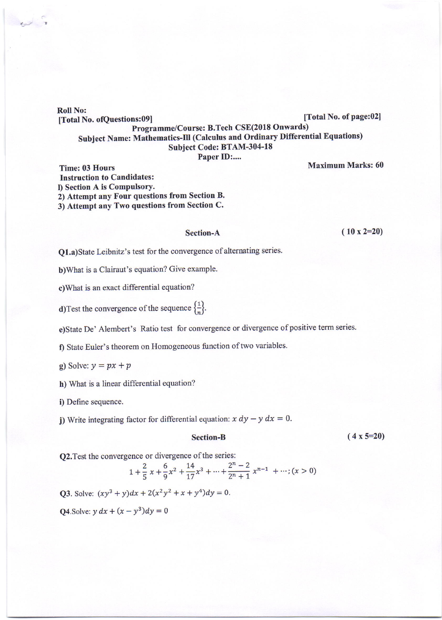Roll No: [Total No. ofQuestions:09] [Total No. of page:02]<br>- Recommo/Course: B Tech CSE(2018 Onwards) Programme/Course: B.Tech CSE(2018 Onwards) subject Name: Mathematics-Ill (calculus and ordinary Differential Equations) Subject Code: BTAM-304-18

Paper ID:....

Maximum Marks: 60

Time: 03 Hours Instruction to Candidates: l) Section A is Compulsory. 2) Attempt any Four questions from Section B. 3) Attempt any Two questions from Section C.

## Section-A

 $(10 \times 2=20)$ 

Q1.a)State Leibnitz's test for the convergence of alternating series.

b)What is a Clairaut's equation? Give example.

c)What is an exact differential equation?

**d**)Test the convergence of the sequence  $\left\{\frac{1}{n}\right\}$ .

e)State De' Alembert's Ratio test for convergence or divergence of positive term series.

f) State Euler's theorem on Homogeneous function of two variables.

g) Solve:  $y = px + p$ 

h) What is a linear differential equation?

i) Define sequence.

j) Write integrating factor for differential equation:  $x dy - y dx = 0$ .

## Section-B

 $(4 \times 5=20)$ 

Q2. Test the convergence or divergence of the series:

$$
1 + \frac{2}{5}x + \frac{6}{9}x^2 + \frac{14}{17}x^3 + \dots + \frac{2^n - 2}{2^n + 1}x^{n-1} + \dots; (x > 0)
$$

Q3. Solve:  $(xy^{3} + y)dx + 2(x^{2}y^{2} + x + y^{4})dy = 0.$ 

**Q4.** Solve:  $y dx + (x - y^3)dy = 0$